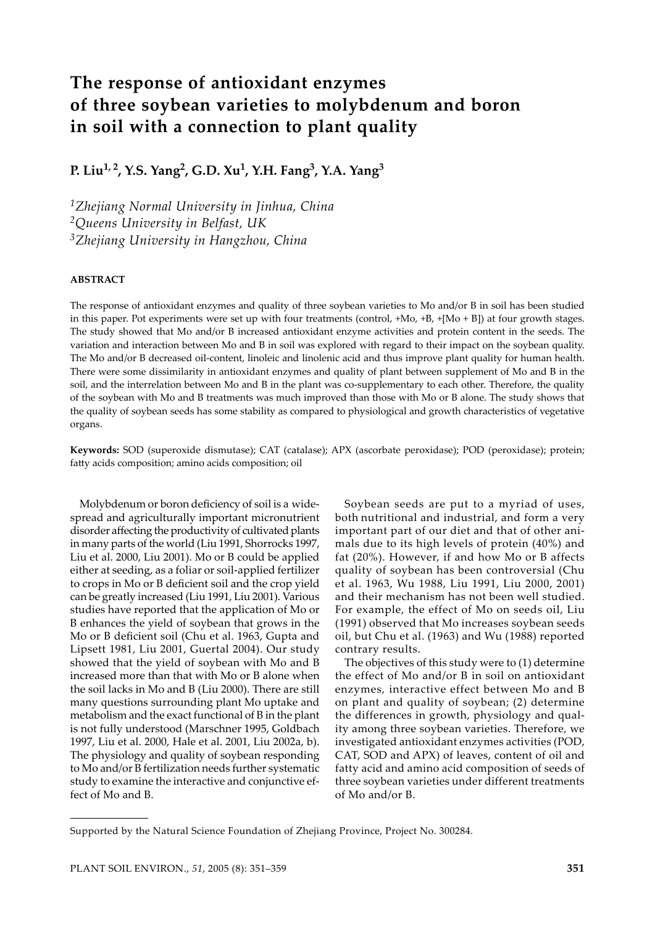# **The response of antioxidant enzymes of three soybean varieties to molybdenum and boron in soil with a connection to plant quality**

**P. Liu1, 2, Y.S. Yang2, G.D. Xu1, Y.H. Fang3, Y.A. Yang3**

*1Zhejiang Normal University in Jinhua, China 2Queens University in Belfast, UK 3Zhejiang University in Hangzhou, China*

# **ABSTRACT**

The response of antioxidant enzymes and quality of three soybean varieties to Mo and/or B in soil has been studied in this paper. Pot experiments were set up with four treatments (control, +Mo, +B, +[Mo + B]) at four growth stages. The study showed that Mo and/or B increased antioxidant enzyme activities and protein content in the seeds. The variation and interaction between Mo and B in soil was explored with regard to their impact on the soybean quality. The Mo and/or B decreased oil-content, linoleic and linolenic acid and thus improve plant quality for human health. There were some dissimilarity in antioxidant enzymes and quality of plant between supplement of Mo and B in the soil, and the interrelation between Mo and B in the plant was co-supplementary to each other. Therefore, the quality of the soybean with Mo and B treatments was much improved than those with Mo or B alone. The study shows that the quality of soybean seeds has some stability as compared to physiological and growth characteristics of vegetative organs.

**Keywords:** SOD (superoxide dismutase); CAT (catalase); APX (ascorbate peroxidase); POD (peroxidase); protein; fatty acids composition; amino acids composition; oil

Molybdenum or boron deficiency of soil is a widespread and agriculturally important micronutrient disorder affecting the productivity of cultivated plants in many parts of the world (Liu 1991, Shorrocks 1997, Liu et al. 2000, Liu 2001). Mo or B could be applied either at seeding, as a foliar or soil-applied fertilizer to crops in Mo or B deficient soil and the crop yield can be greatly increased (Liu 1991, Liu 2001). Various studies have reported that the application of Mo or B enhances the yield of soybean that grows in the Mo or B deficient soil (Chu et al. 1963, Gupta and Lipsett 1981, Liu 2001, Guertal 2004). Our study showed that the yield of soybean with Mo and B increased more than that with Mo or B alone when the soil lacks in Mo and B (Liu 2000). There are still many questions surrounding plant Mo uptake and metabolism and the exact functional of B in the plant is not fully understood (Marschner 1995, Goldbach 1997, Liu et al. 2000, Hale et al. 2001, Liu 2002a, b). The physiology and quality of soybean responding to Mo and/or B fertilization needs further systematic study to examine the interactive and conjunctive effect of Mo and B.

Soybean seeds are put to a myriad of uses, both nutritional and industrial, and form a very important part of our diet and that of other animals due to its high levels of protein (40%) and fat (20%). However, if and how Mo or B affects quality of soybean has been controversial (Chu et al. 1963, Wu 1988, Liu 1991, Liu 2000, 2001) and their mechanism has not been well studied. For example, the effect of Mo on seeds oil, Liu (1991) observed that Mo increases soybean seeds oil, but Chu et al. (1963) and Wu (1988) reported contrary results.

The objectives of this study were to (1) determine the effect of Mo and/or B in soil on antioxidant enzymes, interactive effect between Mo and B on plant and quality of soybean; (2) determine the differences in growth, physiology and quality among three soybean varieties. Therefore, we investigated antioxidant enzymes activities (POD, CAT, SOD and APX) of leaves, content of oil and fatty acid and amino acid composition of seeds of three soybean varieties under different treatments of Mo and/or B.

Supported by the Natural Science Foundation of Zhejiang Province, Project No. 300284.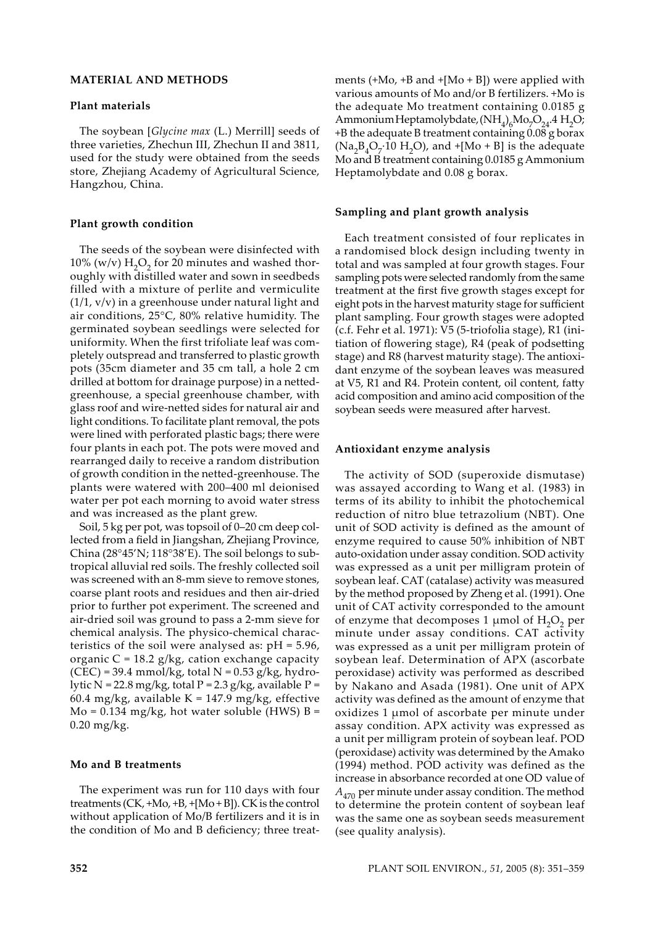# **MATERIAL AND METHODS**

#### **Plant materials**

The soybean [*Glycine max* (L.) Merrill] seeds of three varieties, Zhechun III, Zhechun II and 3811, used for the study were obtained from the seeds store, Zhejiang Academy of Agricultural Science, Hangzhou, China.

#### **Plant growth condition**

The seeds of the soybean were disinfected with 10% (w/v)  $H_2O_2$  for 20 minutes and washed thoroughly with distilled water and sown in seedbeds filled with a mixture of perlite and vermiculite (1/1, v/v) in a greenhouse under natural light and air conditions, 25°C, 80% relative humidity. The germinated soybean seedlings were selected for uniformity. When the first trifoliate leaf was completely outspread and transferred to plastic growth pots (35cm diameter and 35 cm tall, a hole 2 cm drilled at bottom for drainage purpose) in a nettedgreenhouse, a special greenhouse chamber, with glass roof and wire-netted sides for natural air and light conditions. To facilitate plant removal, the pots were lined with perforated plastic bags; there were four plants in each pot. The pots were moved and rearranged daily to receive a random distribution of growth condition in the netted-greenhouse. The plants were watered with 200–400 ml deionised water per pot each morning to avoid water stress and was increased as the plant grew.

Soil, 5 kg per pot, was topsoil of 0–20 cm deep collected from a field in Jiangshan, Zhejiang Province, China (28°45'N; 118°38'E). The soil belongs to subtropical alluvial red soils. The freshly collected soil was screened with an 8-mm sieve to remove stones, coarse plant roots and residues and then air-dried prior to further pot experiment. The screened and air-dried soil was ground to pass a 2-mm sieve for chemical analysis. The physico-chemical characteristics of the soil were analysed as:  $pH = 5.96$ , organic  $C = 18.2$  g/kg, cation exchange capacity  $(CEC) = 39.4$  mmol/kg, total N = 0.53 g/kg, hydrolytic N = 22.8 mg/kg, total P = 2.3 g/kg, available P = 60.4 mg/kg, available  $K = 147.9$  mg/kg, effective  $Mo = 0.134 mg/kg$ , hot water soluble (HWS)  $B =$ 0.20 mg/kg.

#### **Mo and B treatments**

The experiment was run for 110 days with four treatments (CK, +Mo, +B, +[Mo + B]). CK is the control without application of Mo/B fertilizers and it is in the condition of Mo and B deficiency; three treatments  $(+Mo, +Ba)$  +  $[Mo + B]$ ) were applied with various amounts of Mo and/or B fertilizers. +Mo is the adequate Mo treatment containing 0.0185 g Ammonium Heptamolybdate,  $(NH_4)_6Mo_7O_{24}$ .4 H<sub>2</sub>O; +B the adequate B treatment containing 0.08 g borax  $(Na_2B_4O_7.10 H_2O)$ , and  $+[Mo + B]$  is the adequate Mo and B treatment containing 0.0185 g Ammonium Heptamolybdate and 0.08 g borax.

#### **Sampling and plant growth analysis**

Each treatment consisted of four replicates in a randomised block design including twenty in total and was sampled at four growth stages. Four sampling pots were selected randomly from the same treatment at the first five growth stages except for eight pots in the harvest maturity stage for sufficient plant sampling. Four growth stages were adopted (c.f. Fehr et al. 1971): V5 (5-triofolia stage), R1 (initiation of flowering stage), R4 (peak of podsetting stage) and R8 (harvest maturity stage). The antioxidant enzyme of the soybean leaves was measured at V5, R1 and R4. Protein content, oil content, fatty acid composition and amino acid composition of the soybean seeds were measured after harvest.

#### **Antioxidant enzyme analysis**

The activity of SOD (superoxide dismutase) was assayed according to Wang et al*.* (1983) in terms of its ability to inhibit the photochemical reduction of nitro blue tetrazolium (NBT). One unit of SOD activity is defined as the amount of enzyme required to cause 50% inhibition of NBT auto-oxidation under assay condition. SOD activity was expressed as a unit per milligram protein of soybean leaf. CAT (catalase) activity was measured by the method proposed by Zheng et al. (1991). One unit of CAT activity corresponded to the amount of enzyme that decomposes 1  $\mu$ mol of H<sub>2</sub>O<sub>2</sub> per minute under assay conditions. CAT activity was expressed as a unit per milligram protein of soybean leaf. Determination of APX (ascorbate peroxidase) activity was performed as described by Nakano and Asada (1981). One unit of APX activity was defined as the amount of enzyme that oxidizes 1 µmol of ascorbate per minute under assay condition. APX activity was expressed as a unit per milligram protein of soybean leaf. POD (peroxidase) activity was determined by the Amako (1994) method. POD activity was defined as the increase in absorbance recorded at one OD value of  $A_{470}$  per minute under assay condition. The method to determine the protein content of soybean leaf was the same one as soybean seeds measurement (see quality analysis).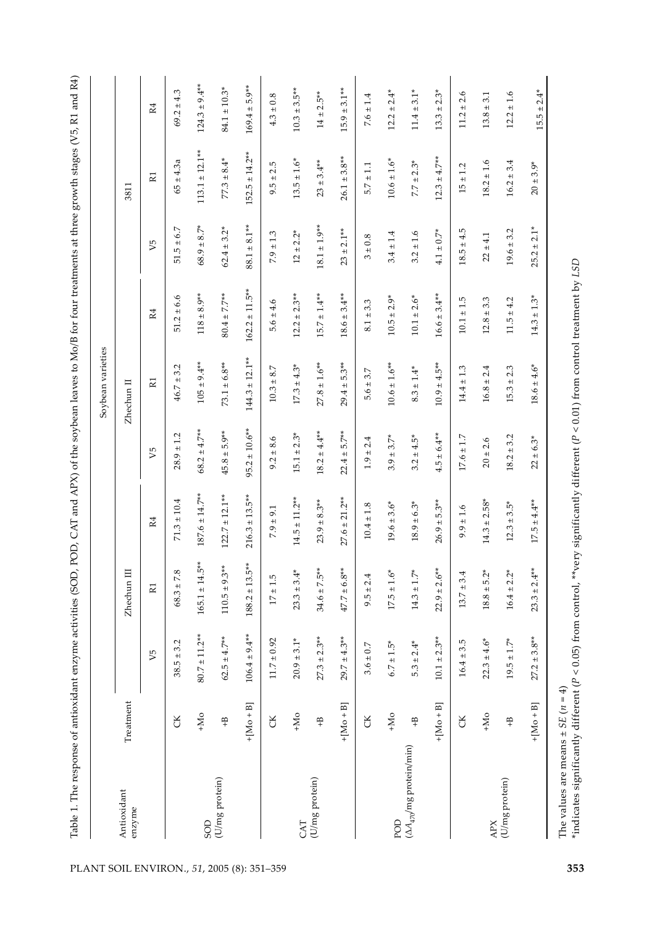| Table 1. The response of antioxidant enzyme activities (SOD,        |                                                                                                                                                                                                                                                                                                                                                                                                                                                                                                                   |                                   |                                   | POD, CAT and APX) of the soybean leaves to Mo/B for four treatments at three growth stages (V5, R1 and R4) |                                  | Soybean varieties                    |                                     |                                |                                   |                                                |
|---------------------------------------------------------------------|-------------------------------------------------------------------------------------------------------------------------------------------------------------------------------------------------------------------------------------------------------------------------------------------------------------------------------------------------------------------------------------------------------------------------------------------------------------------------------------------------------------------|-----------------------------------|-----------------------------------|------------------------------------------------------------------------------------------------------------|----------------------------------|--------------------------------------|-------------------------------------|--------------------------------|-----------------------------------|------------------------------------------------|
| $\begin{array}{ll} \mbox{Antioxidant} \\ \mbox{enzyme} \end{array}$ | Treatment                                                                                                                                                                                                                                                                                                                                                                                                                                                                                                         |                                   | Zhechun III                       |                                                                                                            |                                  | Zhechun II                           |                                     |                                | 3811                              |                                                |
|                                                                     |                                                                                                                                                                                                                                                                                                                                                                                                                                                                                                                   | $V_{5}$                           | $\mathbb R1$                      | R4                                                                                                         | V5                               | $\mathbb R1$                         | $\mathbb{R}4$                       | $V_{5}$                        | $\mathbb R1$                      | $\mathbb{R}4$                                  |
|                                                                     | $\rm{CK}$                                                                                                                                                                                                                                                                                                                                                                                                                                                                                                         | $38.5 \pm 3.2$                    | $68.3\pm7.8$                      | $71.3 \pm 10.4$                                                                                            | $28.9 \pm 1.2$                   | $46.7 \pm 3.2$                       | $51.2 \pm 6.6$                      | $51.5 \pm 6.7$                 | $65 \pm 4.3a$                     | $69.2 \pm 4.3$                                 |
|                                                                     | $+Mo$                                                                                                                                                                                                                                                                                                                                                                                                                                                                                                             | $80.7 \pm 11.2***$                | $165.1 \pm 14.5^*$                | $187.6 \pm 14.7**$                                                                                         | $68.2 \pm 4.7**$                 | $105 \pm 9.4***$                     | $118 \pm 8.9**$                     | $68.9 \pm 8.7$ <sup>*</sup>    | $113.1 \pm 12.1***$               | $124.3 \pm 9.4**$                              |
| $\operatorname{SOD}$ $(\mathrm{U/mg} \ \text{protein})$             | $\stackrel{\textstyle\textstyle\curvearrowleft}{+}$                                                                                                                                                                                                                                                                                                                                                                                                                                                               | $62.5 \pm 4.7***$                 | $9.3**$<br>$110.5 \pm$            | $122.7 \pm 12.1***$                                                                                        | $45.8 \pm 5.9***$                | $73.1 \pm 6.8***$                    | $80.4 \pm 7.7***$                   | $62.4 \pm 3.2*$                | $77.3 \pm 8.4*$                   | $84.1 \pm 10.3*$                               |
|                                                                     | $+[Mo + B]$                                                                                                                                                                                                                                                                                                                                                                                                                                                                                                       | $106.4 \pm 9.4**$                 | $188.2 \pm 13.5^*$                | $216.3 \pm 13.5***$                                                                                        | $95.2 \pm 10.6***$               | $144.3 \pm 12.1***$                  | $162.2 \pm 11.5***$                 | $88.1 \pm 8.1***$              | $152.5 \pm 14.2**$                | $169.4 \pm 5.9***$                             |
|                                                                     | $\rm G$                                                                                                                                                                                                                                                                                                                                                                                                                                                                                                           | $11.7\pm0.92$                     | $17\pm1.5$                        | $7.9 \pm 9.1$                                                                                              | $9.2 \pm 8.6$                    | $10.3\pm8.7$                         | $5.6 \pm 4.6$                       | $7.9 \pm 1.3$                  | $9.5 \pm 2.5$                     | $4.3\pm0.8$                                    |
|                                                                     | $\ensuremath{\mathop{\text{--}}\nolimits_{\mathop{\text{--}}\nolimits_{\mathop{\text{--}}\nolimits_{\mathop{\text{--}}\nolimits_{\mathop{\text{--}}\nolimits_{\mathop{\text{--}}\nolimits_{\mathop{\text{--}}\nolimits_{\mathop{\text{--}}\nolimits_{\mathop{\text{--}}\nolimits_{\mathop{\text{--}}\nolimits_{\mathop{\text{--}}\nolimits_{\mathop{\text{--}}\nolimits_{\mathop{\text{--}}\nolimits_{\mathop{\text{--}}\nolimits_{\mathop{\text{--}}\nolimits_{\mathop{\text{--}}\nolimits_{\mathop{\text{--}}\$ | $20.9\pm3.1^{*}$                  | $23.3 \pm 3.4^*$                  | $14.5 \pm 11.2***$                                                                                         | $15.1 \pm 2.3*$                  | $17.3 \pm 4.3*$                      | $12.2 \pm 2.3$ **                   | $12\pm2.2^*$                   | $13.5 \pm 1.6*$                   | $10.3 \pm 3.5***$                              |
| $\frac{\text{CAT}}{\text{(U/mg protein)}}$                          | $\ddot{+}$                                                                                                                                                                                                                                                                                                                                                                                                                                                                                                        | $27.3 \pm 2.3**$                  | $34.6 \pm 7.5^*$                  | $23.9 \pm 8.3***$                                                                                          | $18.2 \pm 4.4***$                | $27.8\pm1.6^{**}$                    | $15.7 \pm 1.4***$                   | $18.1\pm1.9^{**}$              | $23\pm3.4^{**}$                   | $14\pm2.5***$                                  |
|                                                                     | $+[M_0 + B]$                                                                                                                                                                                                                                                                                                                                                                                                                                                                                                      | $29.7 \pm 4.3***$                 | $47.7 \pm 6.8***$                 | $27.6 \pm 21.2***$                                                                                         | $22.4 \pm 5.7***$                | $29.4 \pm 5.3***$                    | $18.6 \pm 3.4***$                   | $23\pm2.1^{**}$                | $26.1 \pm 3.8***$                 | $15.9 \pm 3.1***$                              |
|                                                                     | $\rm G$                                                                                                                                                                                                                                                                                                                                                                                                                                                                                                           | $3.6\pm0.7$                       | $9.5 \pm 2.4$                     | $10.4 \pm 1.8$                                                                                             | $1.9 \pm 2.4$                    | $5.6 \pm 3.7$                        | $8.1 \pm 3.3$                       | $3\pm0.8$                      | $5.7\pm1.1$                       | $7.6 \pm 1.4$                                  |
|                                                                     |                                                                                                                                                                                                                                                                                                                                                                                                                                                                                                                   |                                   |                                   |                                                                                                            |                                  |                                      |                                     |                                |                                   |                                                |
| POD $(\Delta A_{470}/\mathrm{mg}\,\mathrm{protein/min})$            | $+Mo$<br>$\mathfrak{a}_+$                                                                                                                                                                                                                                                                                                                                                                                                                                                                                         | $5.3 \pm 2.4*$<br>$6.7\pm1.5^{*}$ | $17.5 \pm 1.6*$<br>$14.3 \pm 1.7$ | $18.9 \pm 6.3*$<br>$19.6 \pm 3.6*$                                                                         | $3.2 \pm 4.5*$<br>$3.9 \pm 3.7*$ | $10.6 \pm 1.6***$<br>$8.3\pm1.4^{*}$ | $10.1 \pm 2.6*$<br>$10.5 \pm 2.9$ * | $3.2 \pm 1.6$<br>$3.4 \pm 1.4$ | $10.6 \pm 1.6*$<br>$7.7 \pm 2.3*$ | $12.2 \pm 2.4$ <sup>*</sup><br>$11.4 \pm 3.1*$ |
|                                                                     | $+[Mo + B]$                                                                                                                                                                                                                                                                                                                                                                                                                                                                                                       | $10.1 \pm 2.3***$                 | $22.9 \pm 2.6***$                 | $26.9 \pm 5.3***$                                                                                          | $4.5 \pm 6.4***$                 | $10.9 \pm 4.5***$                    | $16.6 \pm 3.4***$                   | $4.1 \pm 0.7$ <sup>*</sup>     | $12.3 \pm 4.7***$                 | $13.3 \pm 2.3$ <sup>*</sup>                    |
|                                                                     | ${\rm CK}$                                                                                                                                                                                                                                                                                                                                                                                                                                                                                                        | $16.4 \pm 3.5$                    | $13.7 \pm 3.4$                    | $9.9 \pm 1.6$                                                                                              | $17.6 \pm 1.7$                   | $14.4\pm1.3$                         | $10.1\pm1.5$                        | $18.5 \pm 4.5$                 | $15\pm1.2$                        | $11.2 \pm 2.6$                                 |
|                                                                     | $+Mo$                                                                                                                                                                                                                                                                                                                                                                                                                                                                                                             | $22.3 \pm 4.6*$                   | $18.8 \pm 5.2*$                   | $14.3 \pm 2.58*$                                                                                           | $20\pm2.6$                       | $16.8 \pm 2.4$                       | $12.8 \pm 3.3$                      | $22 \pm 4.1$                   | $18.2 \pm 1.6$                    | $13.8 \pm 3.1$                                 |
| $_{\rm APX}^{\rm APX}$ protein)                                     | $\frac{4}{\pi}$                                                                                                                                                                                                                                                                                                                                                                                                                                                                                                   | $19.5 \pm 1.7*$                   | $16.4 \pm 2.2$ <sup>*</sup>       | $12.3 \pm 3.5^*$                                                                                           | $18.2 \pm 3.2$                   | $15.3 \pm 2.3$                       | $11.5 \pm 4.2$                      | $19.6 \pm 3.2$                 | $16.2 \pm 3.4$                    | $12.2 \pm 1.6$                                 |
|                                                                     |                                                                                                                                                                                                                                                                                                                                                                                                                                                                                                                   | $27.2 \pm 3.8**$                  | $23.3 \pm 2.4**$                  |                                                                                                            |                                  |                                      |                                     |                                |                                   |                                                |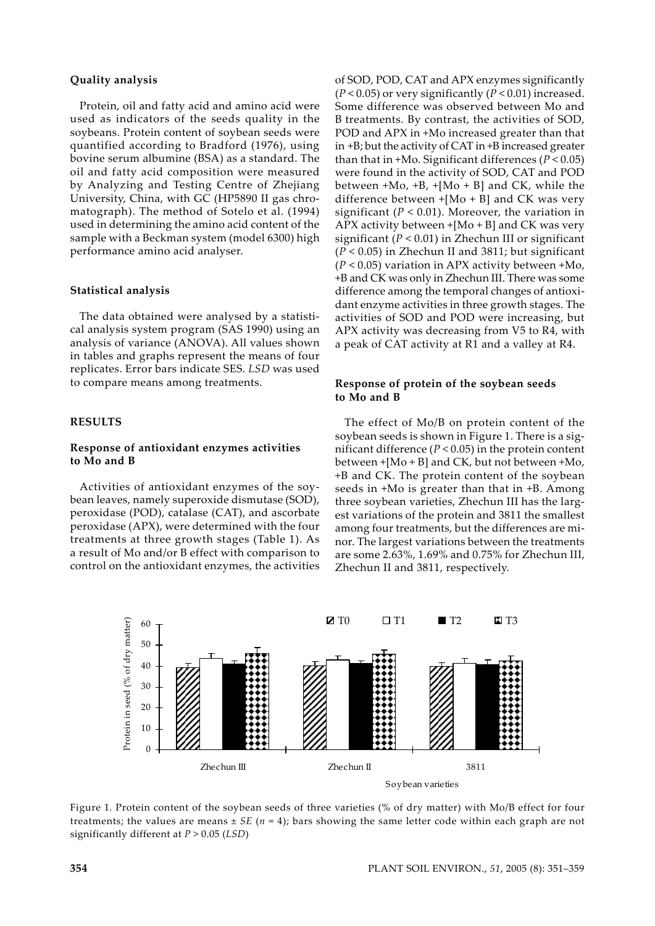# **Quality analysis**

Protein, oil and fatty acid and amino acid were used as indicators of the seeds quality in the soybeans. Protein content of soybean seeds were quantified according to Bradford (1976), using bovine serum albumine (BSA) as a standard. The oil and fatty acid composition were measured by Analyzing and Testing Centre of Zhejiang University, China, with GC (HP5890 II gas chromatograph). The method of Sotelo et al. (1994) used in determining the amino acid content of the sample with a Beckman system (model 6300) high performance amino acid analyser.

#### **Statistical analysis**

The data obtained were analysed by a statistical analysis system program (SAS 1990) using an analysis of variance (ANOVA). All values shown in tables and graphs represent the means of four replicates. Error bars indicate SES. *LSD* was used to compare means among treatments.

#### **RESULTS**

### **Response of antioxidant enzymes activities to Mo and B**

Activities of antioxidant enzymes of the soybean leaves, namely superoxide dismutase (SOD), peroxidase (POD), catalase (CAT), and ascorbate peroxidase (APX), were determined with the four treatments at three growth stages (Table 1). As a result of Mo and/or B effect with comparison to control on the antioxidant enzymes, the activities of SOD, POD, CAT and APX enzymes significantly (*P* < 0.05) or very significantly (*P* < 0.01) increased. Some difference was observed between Mo and B treatments. By contrast, the activities of SOD, POD and APX in +Mo increased greater than that in +B; but the activity of CAT in +B increased greater than that in +Mo. Significant differences (*P* < 0.05) were found in the activity of SOD, CAT and POD between +Mo, +B, +[Mo + B] and CK, while the difference between  $+[Mo + B]$  and CK was very significant ( $P < 0.01$ ). Moreover, the variation in APX activity between  $+[Mo + B]$  and CK was very significant (*P* < 0.01) in Zhechun III or significant (*P* < 0.05) in Zhechun II and 3811; but significant (*P* < 0.05) variation in APX activity between +Mo, +B and CK was only in Zhechun III. There was some difference among the temporal changes of antioxidant enzyme activities in three growth stages. The activities of SOD and POD were increasing, but APX activity was decreasing from V5 to R4, with a peak of CAT activity at R1 and a valley at R4.

## **Response of protein of the soybean seeds to Mo and B**

The effect of Mo/B on protein content of the soybean seeds is shown in Figure 1. There is a significant difference (*P* < 0.05) in the protein content between +[Mo + B] and CK, but not between +Mo, +B and CK. The protein content of the soybean seeds in +Mo is greater than that in +B. Among three soybean varieties, Zhechun III has the largest variations of the protein and 3811 the smallest among four treatments, but the differences are minor. The largest variations between the treatments are some 2.63%, 1.69% and 0.75% for Zhechun III, Zhechun II and 3811, respectively.



Figure 1*.* Protein content of the soybean seeds of three varieties (% of dry matter) with Mo/B effect for four treatments; the values are means ± *SE* (*n* = 4); bars showing the same letter code within each graph are not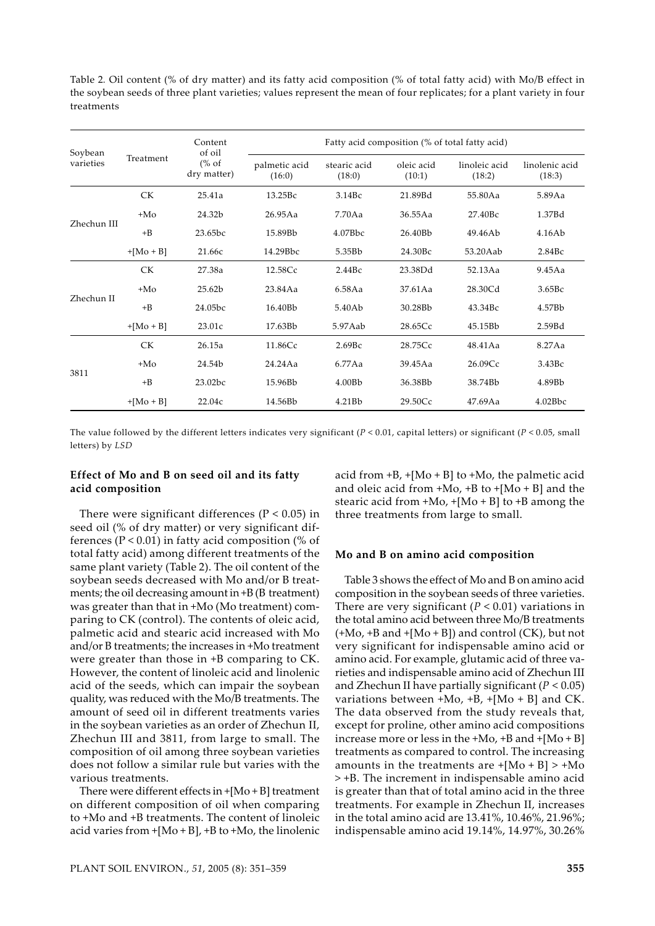Table 2*.* Oil content (% of dry matter) and its fatty acid composition (% of total fatty acid) with Mo/B effect in the soybean seeds of three plant varieties; values represent the mean of four replicates; for a plant variety in four treatments

| Soybean     |             | Content<br>of oil               | Fatty acid composition (% of total fatty acid) |                        |                      |                         |                          |  |  |  |
|-------------|-------------|---------------------------------|------------------------------------------------|------------------------|----------------------|-------------------------|--------------------------|--|--|--|
| varieties   | Treatment   | $\frac{6}{6}$ of<br>dry matter) | palmetic acid<br>(16:0)                        | stearic acid<br>(18:0) | oleic acid<br>(10:1) | linoleic acid<br>(18:2) | linolenic acid<br>(18:3) |  |  |  |
|             | <b>CK</b>   | 25.41a                          | 13.25Bc                                        | 3.14Bc                 | 21.89Bd              | 55.80Aa                 | 5.89Aa                   |  |  |  |
|             | $+Mo$       | 24.32b                          | 26.95Aa                                        | 7.70Aa                 | 36.55Aa              | 27.40Bc                 | 1.37Bd                   |  |  |  |
| Zhechun III | $+B$        | 23.65bc                         | 15.89Bb                                        | 4.07Bbc                | 26.40Bb              | 49.46Ab                 | 4.16Ab                   |  |  |  |
|             | $+[Mo + B]$ | 21.66с                          | 14.29Bbc                                       | 5.35Bb                 | 24.30Bc              | 53.20Aab                | 2.84Bc                   |  |  |  |
|             | <b>CK</b>   | 27.38a                          | 12.58Cc                                        | 2.44Bc                 | 23.38Dd              | 52.13Aa                 | 9.45Aa                   |  |  |  |
| Zhechun II  | $+Mo$       | 25.62b                          | 23.84Aa                                        | 6.58Aa                 | 37.61Aa              | 28.30Cd                 | 3.65Bc                   |  |  |  |
|             | $+B$        | 24.05bc                         | 16.40Bb                                        | 5.40Ab                 | 30.28Bb              | 43.34Bc                 | 4.57Bb                   |  |  |  |
|             | $+[Mo + B]$ | 23.01c                          | 17.63Bb                                        | 5.97Aab                | 28.65Cc              | 45.15Bb                 | 2.59Bd                   |  |  |  |
|             | <b>CK</b>   | 26.15a                          | 11.86Cc                                        | 2.69Bc                 | 28.75Cc              | 48.41Aa                 | 8.27Aa                   |  |  |  |
|             | $+Mo$       | 24.54b                          | 24.24Aa                                        | 6.77Aa                 | 39.45Aa              | 26.09Cc                 | 3.43Bc                   |  |  |  |
| 3811        | $+B$        | 23.02bc                         | 15.96Bb                                        | 4.00B <sub>b</sub>     | 36.38Bb              | 38.74Bb                 | 4.89Bb                   |  |  |  |
|             | $+[Mo + B]$ | 22.04c                          | 14.56Bb                                        | 4.21Bb                 | 29.50Cc              | 47.69Aa                 | 4.02Bbc                  |  |  |  |

The value followed by the different letters indicates very significant (*P* < 0.01, capital letters) or significant (*P* < 0.05, small letters) by *LSD*

## **Effect of Mo and B on seed oil and its fatty acid composition**

There were significant differences ( $P < 0.05$ ) in seed oil (% of dry matter) or very significant differences ( $P < 0.01$ ) in fatty acid composition (% of total fatty acid) among different treatments of the same plant variety (Table 2). The oil content of the soybean seeds decreased with Mo and/or B treatments; the oil decreasing amount in +B (B treatment) was greater than that in +Mo (Mo treatment) comparing to CK (control). The contents of oleic acid, palmetic acid and stearic acid increased with Mo and/or B treatments; the increases in +Mo treatment were greater than those in +B comparing to CK. However, the content of linoleic acid and linolenic acid of the seeds, which can impair the soybean quality, was reduced with the Mo/B treatments. The amount of seed oil in different treatments varies in the soybean varieties as an order of Zhechun II, Zhechun III and 3811, from large to small. The composition of oil among three soybean varieties does not follow a similar rule but varies with the various treatments.

There were different effects in +[Mo + B] treatment on different composition of oil when comparing to +Mo and +B treatments. The content of linoleic acid varies from  $+[Mo + B]$ ,  $+B$  to  $+Mo$ , the linolenic acid from  $+B$ ,  $+[Mo + B]$  to  $+Mo$ , the palmetic acid and oleic acid from  $+Mo$ ,  $+B$  to  $+[Mo + B]$  and the stearic acid from +Mo, +[Mo + B] to +B among the three treatments from large to small.

#### **Mo and B on amino acid composition**

Table 3 shows the effect of Mo and B on amino acid composition in the soybean seeds of three varieties. There are very significant  $(P < 0.01)$  variations in the total amino acid between three Mo/B treatments  $(+Mo, +Band +[Mo + B])$  and control  $(CK)$ , but not very significant for indispensable amino acid or amino acid. For example, glutamic acid of three varieties and indispensable amino acid of Zhechun III and Zhechun II have partially significant (*P* < 0.05) variations between  $+Mo$ ,  $+B$ ,  $+[Mo + B]$  and CK. The data observed from the study reveals that, except for proline, other amino acid compositions increase more or less in the +Mo, +B and +[Mo + B] treatments as compared to control. The increasing amounts in the treatments are  $+[Mo + B] > +Mo$ > +B. The increment in indispensable amino acid is greater than that of total amino acid in the three treatments. For example in Zhechun II, increases in the total amino acid are 13.41%, 10.46%, 21.96%; indispensable amino acid 19.14%, 14.97%, 30.26%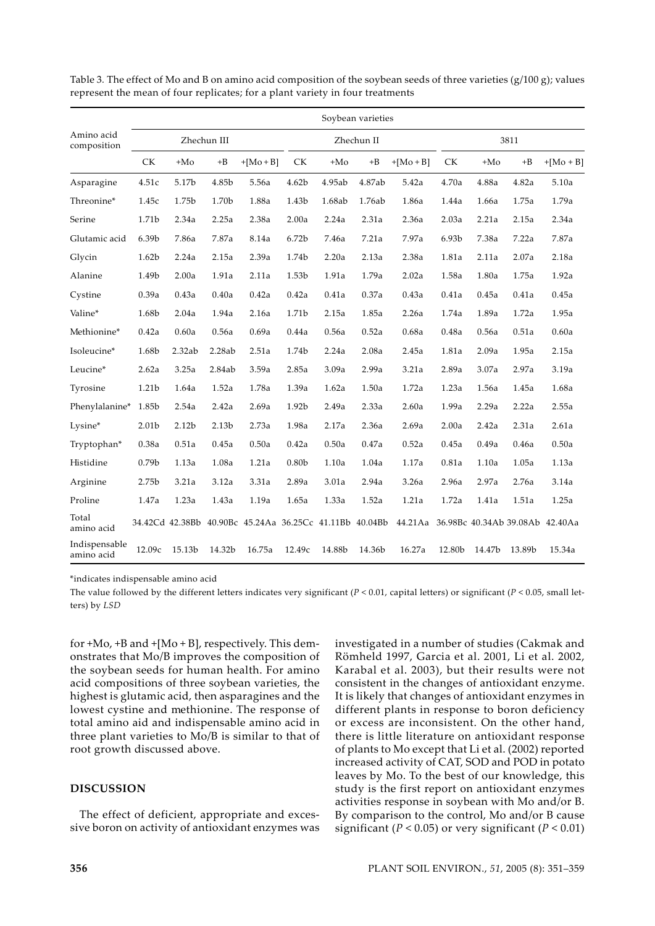|                             |           |        |             |                                                         |                   |        | Soybean varieties |             |           |        |        |                                         |  |
|-----------------------------|-----------|--------|-------------|---------------------------------------------------------|-------------------|--------|-------------------|-------------|-----------|--------|--------|-----------------------------------------|--|
| Amino acid<br>composition   |           |        | Zhechun III |                                                         |                   |        | Zhechun II        |             |           | 3811   |        |                                         |  |
|                             | <b>CK</b> | $+Mo$  | $+B$        | $+[Mo + B]$                                             | <b>CK</b>         | $+Mo$  | $+B$              | $+[Mo + B]$ | <b>CK</b> | $+Mo$  | $+B$   | $+[Mo + B]$                             |  |
| Asparagine                  | 4.51c     | 5.17b  | 4.85b       | 5.56a                                                   | 4.62b             | 4.95ab | 4.87ab            | 5.42a       | 4.70a     | 4.88a  | 4.82a  | 5.10a                                   |  |
| Threonine*                  | 1.45c     | 1.75b  | 1.70b       | 1.88a                                                   | 1.43b             | 1.68ab | 1.76ab            | 1.86a       | 1.44a     | 1.66a  | 1.75a  | 1.79a                                   |  |
| Serine                      | 1.71b     | 2.34a  | 2.25a       | 2.38a                                                   | 2.00a             | 2.24a  | 2.31a             | 2.36a       | 2.03a     | 2.21a  | 2.15a  | 2.34a                                   |  |
| Glutamic acid               | 6.39b     | 7.86a  | 7.87a       | 8.14a                                                   | 6.72b             | 7.46a  | 7.21a             | 7.97a       | 6.93b     | 7.38a  | 7.22a  | 7.87a                                   |  |
| Glycin                      | 1.62b     | 2.24a  | 2.15a       | 2.39a                                                   | 1.74b             | 2.20a  | 2.13a             | 2.38a       | 1.81a     | 2.11a  | 2.07a  | 2.18a                                   |  |
| Alanine                     | 1.49b     | 2.00a  | 1.91a       | 2.11a                                                   | 1.53b             | 1.91a  | 1.79a             | 2.02a       | 1.58a     | 1.80a  | 1.75a  | 1.92a                                   |  |
| Cystine                     | 0.39a     | 0.43a  | 0.40a       | 0.42a                                                   | 0.42a             | 0.41a  | 0.37a             | 0.43a       | 0.41a     | 0.45a  | 0.41a  | 0.45a                                   |  |
| Valine*                     | 1.68b     | 2.04a  | 1.94a       | 2.16a                                                   | 1.71b             | 2.15a  | 1.85a             | 2.26a       | 1.74a     | 1.89a  | 1.72a  | 1.95a                                   |  |
| Methionine*                 | 0.42a     | 0.60a  | 0.56a       | 0.69a                                                   | 0.44a             | 0.56a  | 0.52a             | 0.68a       | 0.48a     | 0.56a  | 0.51a  | 0.60a                                   |  |
| Isoleucine*                 | 1.68b     | 2.32ab | 2.28ab      | 2.51a                                                   | 1.74b             | 2.24a  | 2.08a             | 2.45a       | 1.81a     | 2.09a  | 1.95a  | 2.15a                                   |  |
| Leucine*                    | 2.62a     | 3.25a  | 2.84ab      | 3.59a                                                   | 2.85a             | 3.09a  | 2.99a             | 3.21a       | 2.89a     | 3.07a  | 2.97a  | 3.19a                                   |  |
| Tyrosine                    | 1.21b     | 1.64a  | 1.52a       | 1.78a                                                   | 1.39a             | 1.62a  | 1.50a             | 1.72a       | 1.23a     | 1.56a  | 1.45a  | 1.68a                                   |  |
| Phenylalanine*              | 1.85b     | 2.54a  | 2.42a       | 2.69a                                                   | 1.92b             | 2.49a  | 2.33a             | 2.60a       | 1.99a     | 2.29a  | 2.22a  | 2.55a                                   |  |
| Lysine*                     | 2.01b     | 2.12b  | 2.13b       | 2.73a                                                   | 1.98a             | 2.17a  | 2.36a             | 2.69a       | 2.00a     | 2.42a  | 2.31a  | 2.61a                                   |  |
| Tryptophan*                 | 0.38a     | 0.51a  | 0.45a       | 0.50a                                                   | 0.42a             | 0.50a  | 0.47a             | 0.52a       | 0.45a     | 0.49a  | 0.46a  | 0.50a                                   |  |
| Histidine                   | 0.79b     | 1.13a  | 1.08a       | 1.21a                                                   | 0.80 <sub>b</sub> | 1.10a  | 1.04a             | 1.17a       | 0.81a     | 1.10a  | 1.05a  | 1.13a                                   |  |
| Arginine                    | 2.75b     | 3.21a  | 3.12a       | 3.31a                                                   | 2.89a             | 3.01a  | 2.94a             | 3.26a       | 2.96a     | 2.97a  | 2.76a  | 3.14a                                   |  |
| Proline                     | 1.47a     | 1.23a  | 1.43a       | 1.19a                                                   | 1.65a             | 1.33a  | 1.52a             | 1.21a       | 1.72a     | 1.41a  | 1.51a  | 1.25a                                   |  |
| Total<br>amino acid         |           |        |             | 34.42Cd 42.38Bb 40.90Bc 45.24Aa 36.25Cc 41.11Bb 40.04Bb |                   |        |                   |             |           |        |        | 44.21Aa 36.98Bc 40.34Ab 39.08Ab 42.40Aa |  |
| Indispensable<br>amino acid | 12.09c    | 15.13b | 14.32b      | 16.75a                                                  | 12.49c            | 14.88b | 14.36b            | 16.27a      | 12.80b    | 14.47b | 13.89b | 15.34a                                  |  |

Table 3*.* The effect of Mo and B on amino acid composition of the soybean seeds of three varieties (g/100 g); values represent the mean of four replicates; for a plant variety in four treatments

\*indicates indispensable amino acid

The value followed by the different letters indicates very significant  $(P < 0.01$ , capital letters) or significant  $(P < 0.05$ , small letters) by *LSD*

for  $+Mo$ ,  $+B$  and  $+[Mo + B]$ , respectively. This demonstrates that Mo/B improves the composition of the soybean seeds for human health. For amino acid compositions of three soybean varieties, the highest is glutamic acid, then asparagines and the lowest cystine and methionine. The response of total amino aid and indispensable amino acid in three plant varieties to Mo/B is similar to that of root growth discussed above.

# **DISCUSSION**

The effect of deficient, appropriate and excessive boron on activity of antioxidant enzymes was investigated in a number of studies (Cakmak and Römheld 1997, Garcia et al. 2001, Li et al. 2002, Karabal et al. 2003), but their results were not consistent in the changes of antioxidant enzyme. It is likely that changes of antioxidant enzymes in different plants in response to boron deficiency or excess are inconsistent. On the other hand, there is little literature on antioxidant response of plants to Mo except that Li et al. (2002) reported increased activity of CAT, SOD and POD in potato leaves by Mo. To the best of our knowledge, this study is the first report on antioxidant enzymes activities response in soybean with Mo and/or B. By comparison to the control, Mo and/or B cause significant ( $P < 0.05$ ) or very significant ( $P < 0.01$ )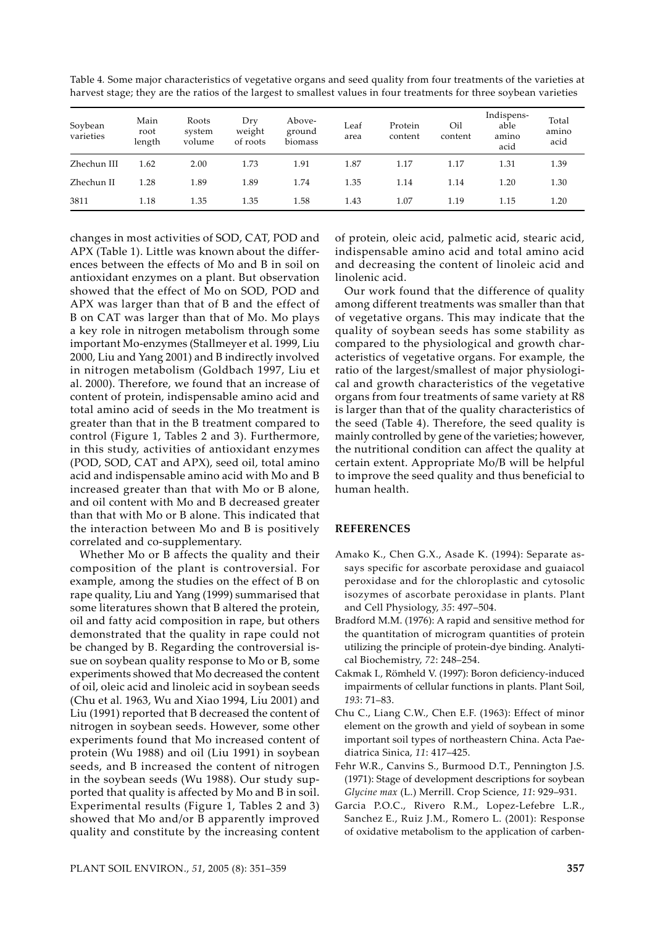| Table 4. Some major characteristics of vegetative organs and seed quality from four treatments of the varieties at  |  |  |  |
|---------------------------------------------------------------------------------------------------------------------|--|--|--|
| harvest stage; they are the ratios of the largest to smallest values in four treatments for three soybean varieties |  |  |  |

| Soybean<br>varieties | Main<br>root<br>length | Roots<br>system<br>volume | Dry<br>weight<br>of roots | Above-<br>ground<br>biomass | Leaf<br>area | Protein<br>content | Oil<br>content | Indispens-<br>able<br>amino<br>acid | Total<br>amino<br>acid |
|----------------------|------------------------|---------------------------|---------------------------|-----------------------------|--------------|--------------------|----------------|-------------------------------------|------------------------|
| Zhechun III          | 1.62                   | 2.00                      | 1.73                      | 1.91                        | 1.87         | 1.17               | 1.17           | 1.31                                | 1.39                   |
| Zhechun II           | 1.28                   | 1.89                      | 1.89                      | 1.74                        | 1.35         | 1.14               | 1.14           | 1.20                                | 1.30                   |
| 3811                 | 1.18                   | 1.35                      | 1.35                      | 1.58                        | 1.43         | 1.07               | 1.19           | 1.15                                | 1.20                   |

changes in most activities of SOD, CAT, POD and APX (Table 1). Little was known about the differences between the effects of Mo and B in soil on antioxidant enzymes on a plant. But observation showed that the effect of Mo on SOD, POD and APX was larger than that of B and the effect of B on CAT was larger than that of Mo. Mo plays a key role in nitrogen metabolism through some important Mo-enzymes (Stallmeyer et al. 1999, Liu 2000, Liu and Yang 2001) and B indirectly involved in nitrogen metabolism (Goldbach 1997, Liu et al. 2000). Therefore, we found that an increase of content of protein, indispensable amino acid and total amino acid of seeds in the Mo treatment is greater than that in the B treatment compared to control (Figure 1, Tables 2 and 3). Furthermore, in this study, activities of antioxidant enzymes (POD, SOD, CAT and APX), seed oil, total amino acid and indispensable amino acid with Mo and B increased greater than that with Mo or B alone, and oil content with Mo and B decreased greater than that with Mo or B alone. This indicated that the interaction between Mo and B is positively correlated and co-supplementary.

Whether Mo or B affects the quality and their composition of the plant is controversial. For example, among the studies on the effect of B on rape quality, Liu and Yang (1999) summarised that some literatures shown that B altered the protein, oil and fatty acid composition in rape, but others demonstrated that the quality in rape could not be changed by B. Regarding the controversial issue on soybean quality response to Mo or B, some experiments showed that Mo decreased the content of oil, oleic acid and linoleic acid in soybean seeds (Chu et al*.* 1963, Wu and Xiao 1994, Liu 2001) and Liu (1991) reported that B decreased the content of nitrogen in soybean seeds. However, some other experiments found that Mo increased content of protein (Wu 1988) and oil (Liu 1991) in soybean seeds, and B increased the content of nitrogen in the soybean seeds (Wu 1988). Our study supported that quality is affected by Mo and B in soil. Experimental results (Figure 1, Tables 2 and 3) showed that Mo and/or B apparently improved quality and constitute by the increasing content

acteristics of vegetative organs. For example, the ratio of the largest/smallest of major physiological and growth characteristics of the vegetative organs from four treatments of same variety at R8

is larger than that of the quality characteristics of the seed (Table 4). Therefore, the seed quality is mainly controlled by gene of the varieties; however, the nutritional condition can affect the quality at certain extent. Appropriate Mo/B will be helpful to improve the seed quality and thus beneficial to human health.

of protein, oleic acid, palmetic acid, stearic acid, indispensable amino acid and total amino acid and decreasing the content of linoleic acid and

Our work found that the difference of quality among different treatments was smaller than that of vegetative organs. This may indicate that the quality of soybean seeds has some stability as compared to the physiological and growth char-

# **REFERENCES**

linolenic acid.

- Amako K., Chen G.X., Asade K. (1994): Separate assays specific for ascorbate peroxidase and guaiacol peroxidase and for the chloroplastic and cytosolic isozymes of ascorbate peroxidase in plants. Plant and Cell Physiology, *35*: 497–504.
- Bradford M.M. (1976): A rapid and sensitive method for the quantitation of microgram quantities of protein utilizing the principle of protein-dye binding. Analytical Biochemistry, *72*: 248–254.
- Cakmak I., Römheld V. (1997): Boron deficiency-induced impairments of cellular functions in plants. Plant Soil, *193*: 71–83.
- Chu C., Liang C.W., Chen E.F. (1963): Effect of minor element on the growth and yield of soybean in some important soil types of northeastern China. Acta Paediatrica Sinica, *11*: 417–425.
- Fehr W.R., Canvins S., Burmood D.T., Pennington J.S. (1971): Stage of development descriptions for soybean *Glycine max* (L.) Merrill. Crop Science, *11*: 929–931.
- Garcia P.O.C., Rivero R.M., Lopez-Lefebre L.R., Sanchez E., Ruiz J.M., Romero L. (2001): Response of oxidative metabolism to the application of carben-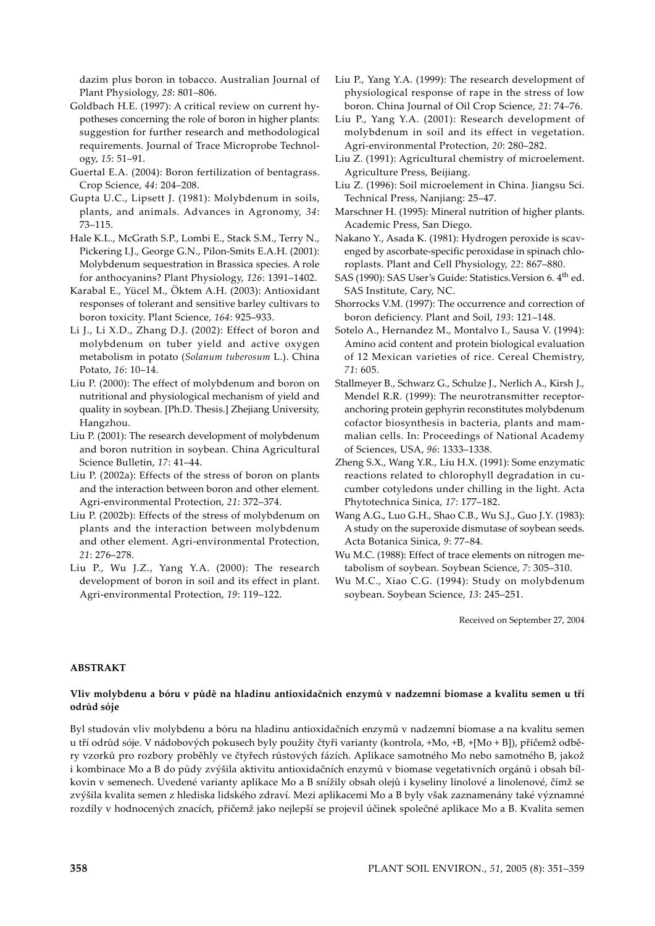dazim plus boron in tobacco. Australian Journal of Plant Physiology, *28*: 801–806.

- Goldbach H.E. (1997): A critical review on current hypotheses concerning the role of boron in higher plants: suggestion for further research and methodological requirements. Journal of Trace Microprobe Technology, *15*: 51–91.
- Guertal E.A. (2004): Boron fertilization of bentagrass. Crop Science, *44*: 204–208.
- Gupta U.C., Lipsett J. (1981): Molybdenum in soils, plants, and animals. Advances in Agronomy, *34*: 73–115.
- Hale K.L., McGrath S.P., Lombi E., Stack S.M., Terry N., Pickering I.J., George G.N., Pilon-Smits E.A.H. (2001): Molybdenum sequestration in Brassica species. A role for anthocyanins? Plant Physiology, *126*: 1391–1402.
- Karabal E., Yücel M., Öktem A.H. (2003): Antioxidant responses of tolerant and sensitive barley cultivars to boron toxicity. Plant Science, *164*: 925–933.
- Li J., Li X.D., Zhang D.J. (2002): Effect of boron and molybdenum on tuber yield and active oxygen metabolism in potato (*Solanum tuberosum* L.). China Potato, *16*: 10–14.
- Liu P. (2000): The effect of molybdenum and boron on nutritional and physiological mechanism of yield and quality in soybean. [Ph.D. Thesis.] Zhejiang University, Hangzhou.
- Liu P. (2001): The research development of molybdenum and boron nutrition in soybean. China Agricultural Science Bulletin, *17*: 41–44.
- Liu P. (2002a): Effects of the stress of boron on plants and the interaction between boron and other element. Agri-environmental Protection, *21*: 372–374.
- Liu P. (2002b): Effects of the stress of molybdenum on plants and the interaction between molybdenum and other element. Agri-environmental Protection, *21*: 276–278.
- Liu P., Wu J.Z., Yang Y.A. (2000): The research development of boron in soil and its effect in plant. Agri-environmental Protection, *19*: 119–122.
- Liu P., Yang Y.A. (1999): The research development of physiological response of rape in the stress of low boron. China Journal of Oil Crop Science, *21*: 74–76.
- Liu P., Yang Y.A. (2001): Research development of molybdenum in soil and its effect in vegetation. Agri-environmental Protection, *20*: 280–282.
- Liu Z. (1991): Agricultural chemistry of microelement. Agriculture Press, Beijiang.
- Liu Z. (1996): Soil microelement in China. Jiangsu Sci. Technical Press, Nanjiang: 25–47.
- Marschner H. (1995): Mineral nutrition of higher plants. Academic Press, San Diego.
- Nakano Y., Asada K. (1981): Hydrogen peroxide is scavenged by ascorbate-specific peroxidase in spinach chloroplasts. Plant and Cell Physiology, *22*: 867–880.
- SAS (1990): SAS User's Guide: Statistics. Version 6. 4<sup>th</sup> ed. SAS Institute, Cary, NC.
- Shorrocks V.M. (1997): The occurrence and correction of boron deficiency. Plant and Soil, *193*: 121–148.
- Sotelo A., Hernandez M., Montalvo I., Sausa V. (1994): Amino acid content and protein biological evaluation of 12 Mexican varieties of rice. Cereal Chemistry, *71*: 605.
- Stallmeyer B., Schwarz G., Schulze J., Nerlich A., Kirsh J., Mendel R.R. (1999): The neurotransmitter receptoranchoring protein gephyrin reconstitutes molybdenum cofactor biosynthesis in bacteria, plants and mammalian cells. In: Proceedings of National Academy of Sciences, USA, *96*: 1333–1338.
- Zheng S.X., Wang Y.R., Liu H.X. (1991): Some enzymatic reactions related to chlorophyll degradation in cucumber cotyledons under chilling in the light. Acta Phytotechnica Sinica, *17*: 177–182.
- Wang A.G., Luo G.H., Shao C.B., Wu S.J., Guo J.Y. (1983): A study on the superoxide dismutase of soybean seeds. Acta Botanica Sinica, *9*: 77–84.
- Wu M.C. (1988): Effect of trace elements on nitrogen metabolism of soybean. Soybean Science, *7*: 305–310.
- Wu M.C., Xiao C.G. (1994): Study on molybdenum soybean. Soybean Science, *13*: 245–251.

Received on September 27, 2004

# **ABSTRAKT**

# **Vliv molybdenu a bóru v půdě na hladinu antioxidačních enzymů v nadzemní biomase a kvalitu semen u tří odrůd sóje**

Byl studován vliv molybdenu a bóru na hladinu antioxidačních enzymů v nadzemní biomase a na kvalitu semen u tří odrůd sóje. V nádobových pokusech byly použity čtyři varianty (kontrola, +Mo, +B, +[Mo + B]), přičemž odběry vzorků pro rozbory proběhly ve čtyřech růstových fázích. Aplikace samotného Mo nebo samotného B, jakož i kombinace Mo a B do půdy zvýšila aktivitu antioxidačních enzymů v biomase vegetativních orgánů i obsah bílkovin v semenech. Uvedené varianty aplikace Mo a B snížily obsah olejů i kyseliny linolové a linolenové, čímž se zvýšila kvalita semen z hlediska lidského zdraví. Mezi aplikacemi Mo a B byly však zaznamenány také významné rozdíly v hodnocených znacích, přičemž jako nejlepší se projevil účinek společné aplikace Mo a B. Kvalita semen